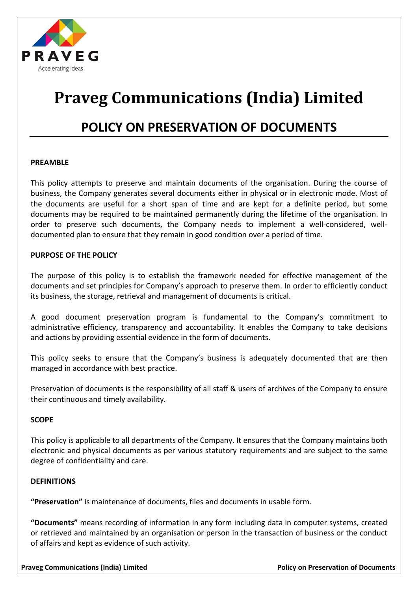

# **Praveg Communications (India) Limited**

## **POLICY ON PRESERVATION OF DOCUMENTS**

#### **PREAMBLE**

This policy attempts to preserve and maintain documents of the organisation. During the course of business, the Company generates several documents either in physical or in electronic mode. Most of the documents are useful for a short span of time and are kept for a definite period, but some documents may be required to be maintained permanently during the lifetime of the organisation. In order to preserve such documents, the Company needs to implement a well-considered, welldocumented plan to ensure that they remain in good condition over a period of time.

### **PURPOSE OF THE POLICY**

The purpose of this policy is to establish the framework needed for effective management of the documents and set principles for Company's approach to preserve them. In order to efficiently conduct its business, the storage, retrieval and management of documents is critical.

A good document preservation program is fundamental to the Company's commitment to administrative efficiency, transparency and accountability. It enables the Company to take decisions and actions by providing essential evidence in the form of documents.

This policy seeks to ensure that the Company's business is adequately documented that are then managed in accordance with best practice.

Preservation of documents is the responsibility of all staff & users of archives of the Company to ensure their continuous and timely availability.

#### **SCOPE**

This policy is applicable to all departments of the Company. It ensures that the Company maintains both electronic and physical documents as per various statutory requirements and are subject to the same degree of confidentiality and care.

#### **DEFINITIONS**

**"Preservation"** is maintenance of documents, files and documents in usable form.

**"Documents"** means recording of information in any form including data in computer systems, created or retrieved and maintained by an organisation or person in the transaction of business or the conduct of affairs and kept as evidence of such activity.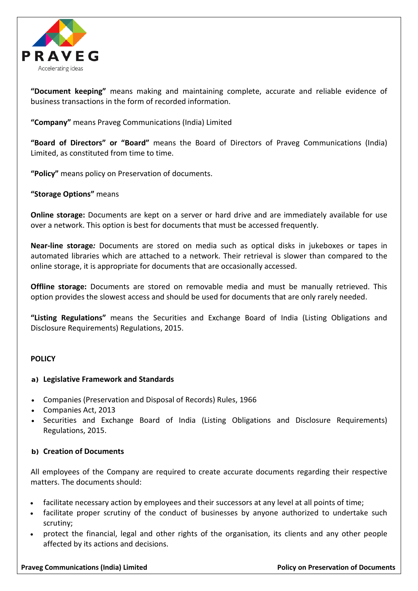

**"Document keeping"** means making and maintaining complete, accurate and reliable evidence of business transactions in the form of recorded information.

**"Company"** means Praveg Communications (India) Limited

**"Board of Directors" or "Board"** means the Board of Directors of Praveg Communications (India) Limited, as constituted from time to time.

**"Policy"** means policy on Preservation of documents.

**"Storage Options"** means

**Online storage:** Documents are kept on a server or hard drive and are immediately available for use over a network. This option is best for documents that must be accessed frequently.

**Near-line storage***:* Documents are stored on media such as optical disks in jukeboxes or tapes in automated libraries which are attached to a network. Their retrieval is slower than compared to the online storage, it is appropriate for documents that are occasionally accessed.

**Offline storage:** Documents are stored on removable media and must be manually retrieved. This option provides the slowest access and should be used for documents that are only rarely needed.

**"Listing Regulations"** means the Securities and Exchange Board of India (Listing Obligations and Disclosure Requirements) Regulations, 2015.

#### **POLICY**

#### **a) Legislative Framework and Standards**

- Companies (Preservation and Disposal of Records) Rules, 1966
- Companies Act, 2013
- Securities and Exchange Board of India (Listing Obligations and Disclosure Requirements) Regulations, 2015.

#### **b) Creation of Documents**

All employees of the Company are required to create accurate documents regarding their respective matters. The documents should:

- facilitate necessary action by employees and their successors at any level at all points of time;
- facilitate proper scrutiny of the conduct of businesses by anyone authorized to undertake such scrutiny;
- protect the financial, legal and other rights of the organisation, its clients and any other people affected by its actions and decisions.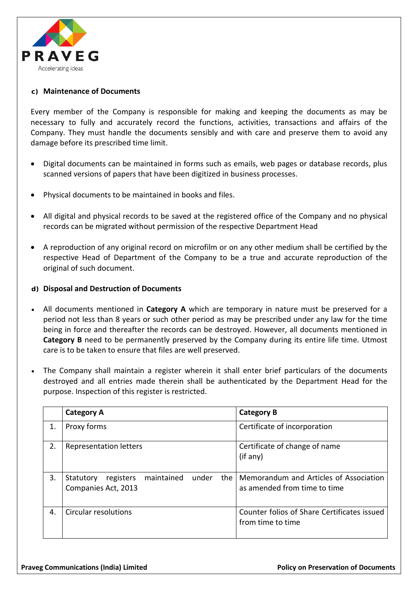

#### **c) Maintenance of Documents**

Every member of the Company is responsible for making and keeping the documents as may be necessary to fully and accurately record the functions, activities, transactions and affairs of the Company. They must handle the documents sensibly and with care and preserve them to avoid any damage before its prescribed time limit.

- Digital documents can be maintained in forms such as emails, web pages or database records, plus scanned versions of papers that have been digitized in business processes.
- Physical documents to be maintained in books and files.
- All digital and physical records to be saved at the registered office of the Company and no physical records can be migrated without permission of the respective Department Head
- A reproduction of any original record on microfilm or on any other medium shall be certified by the respective Head of Department of the Company to be a true and accurate reproduction of the original of such document.

#### **d) Disposal and Destruction of Documents**

- All documents mentioned in **Category A** which are temporary in nature must be preserved for a period not less than 8 years or such other period as may be prescribed under any law for the time being in force and thereafter the records can be destroyed. However, all documents mentioned in **Category B** need to be permanently preserved by the Company during its entire life time. Utmost care is to be taken to ensure that files are well preserved.
- The Company shall maintain a register wherein it shall enter brief particulars of the documents destroyed and all entries made therein shall be authenticated by the Department Head for the purpose. Inspection of this register is restricted.

|    | <b>Category A</b>                                                           | <b>Category B</b>                                                      |
|----|-----------------------------------------------------------------------------|------------------------------------------------------------------------|
| 1. | Proxy forms                                                                 | Certificate of incorporation                                           |
| 2. | Representation letters                                                      | Certificate of change of name<br>(if any)                              |
| 3. | maintained<br>the<br>under<br>registers<br>Statutory<br>Companies Act, 2013 | Memorandum and Articles of Association<br>as amended from time to time |
| 4. | Circular resolutions                                                        | Counter folios of Share Certificates issued<br>from time to time       |